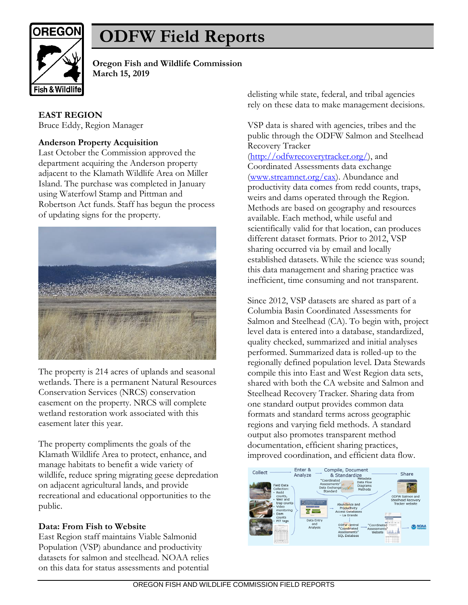

# **ODFW Field Reports**

**Oregon Fish and Wildlife Commission March 15, 2019**

## **EAST REGION**

Bruce Eddy, Region Manager

## **Anderson Property Acquisition**

Last October the Commission approved the department acquiring the Anderson property adjacent to the Klamath Wildlife Area on Miller Island. The purchase was completed in January using Waterfowl Stamp and Pittman and Robertson Act funds. Staff has begun the process of updating signs for the property.



The property is 214 acres of uplands and seasonal wetlands. There is a permanent Natural Resources Conservation Services (NRCS) conservation easement on the property. NRCS will complete wetland restoration work associated with this easement later this year.

The property compliments the goals of the Klamath Wildlife Area to protect, enhance, and manage habitats to benefit a wide variety of wildlife, reduce spring migrating geese depredation on adjacent agricultural lands, and provide recreational and educational opportunities to the public.

## **Data: From Fish to Website**

East Region staff maintains Viable Salmonid Population (VSP) abundance and productivity datasets for salmon and steelhead. NOAA relies on this data for status assessments and potential delisting while state, federal, and tribal agencies rely on these data to make management decisions.

VSP data is shared with agencies, tribes and the public through the ODFW Salmon and Steelhead Recovery Tracker

[\(http://odfwrecoverytracker.org/\)](http://odfwrecoverytracker.org/), and Coordinated Assessments data exchange [\(www.streamnet.org/cax\)](http://www.streamnet.org/cax). Abundance and productivity data comes from redd counts, traps, weirs and dams operated through the Region. Methods are based on geography and resources available. Each method, while useful and scientifically valid for that location, can produces different dataset formats. Prior to 2012, VSP sharing occurred via by email and locally established datasets. While the science was sound; this data management and sharing practice was inefficient, time consuming and not transparent.

Since 2012, VSP datasets are shared as part of a Columbia Basin Coordinated Assessments for Salmon and Steelhead (CA). To begin with, project level data is entered into a database, standardized, quality checked, summarized and initial analyses performed. Summarized data is rolled-up to the regionally defined population level. Data Stewards compile this into East and West Region data sets, shared with both the CA website and Salmon and Steelhead Recovery Tracker. Sharing data from one standard output provides common data formats and standard terms across geographic regions and varying field methods. A standard output also promotes transparent method documentation, efficient sharing practices, improved coordination, and efficient data flow.

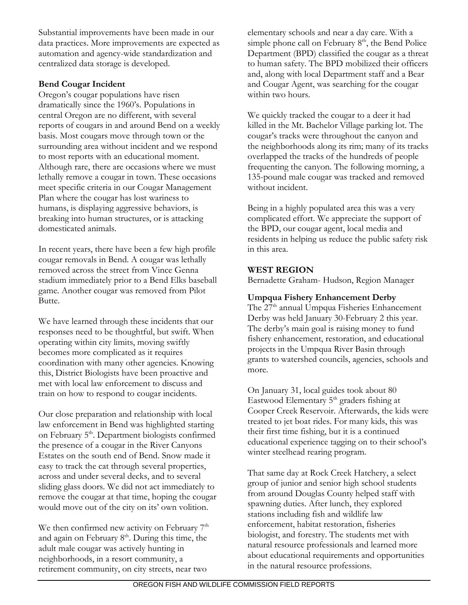Substantial improvements have been made in our data practices. More improvements are expected as automation and agency-wide standardization and centralized data storage is developed.

## **Bend Cougar Incident**

Oregon's cougar populations have risen dramatically since the 1960's. Populations in central Oregon are no different, with several reports of cougars in and around Bend on a weekly basis. Most cougars move through town or the surrounding area without incident and we respond to most reports with an educational moment. Although rare, there are occasions where we must lethally remove a cougar in town. These occasions meet specific criteria in our Cougar Management Plan where the cougar has lost wariness to humans, is displaying aggressive behaviors, is breaking into human structures, or is attacking domesticated animals.

In recent years, there have been a few high profile cougar removals in Bend. A cougar was lethally removed across the street from Vince Genna stadium immediately prior to a Bend Elks baseball game. Another cougar was removed from Pilot Butte.

We have learned through these incidents that our responses need to be thoughtful, but swift. When operating within city limits, moving swiftly becomes more complicated as it requires coordination with many other agencies. Knowing this, District Biologists have been proactive and met with local law enforcement to discuss and train on how to respond to cougar incidents.

Our close preparation and relationship with local law enforcement in Bend was highlighted starting on February 5<sup>th</sup>. Department biologists confirmed the presence of a cougar in the River Canyons Estates on the south end of Bend. Snow made it easy to track the cat through several properties, across and under several decks, and to several sliding glass doors. We did not act immediately to remove the cougar at that time, hoping the cougar would move out of the city on its' own volition.

We then confirmed new activity on February  $7<sup>th</sup>$ and again on February  $8<sup>th</sup>$ . During this time, the adult male cougar was actively hunting in neighborhoods, in a resort community, a retirement community, on city streets, near two

elementary schools and near a day care. With a simple phone call on February  $8<sup>th</sup>$ , the Bend Police Department (BPD) classified the cougar as a threat to human safety. The BPD mobilized their officers and, along with local Department staff and a Bear and Cougar Agent, was searching for the cougar within two hours.

We quickly tracked the cougar to a deer it had killed in the Mt. Bachelor Village parking lot. The cougar's tracks were throughout the canyon and the neighborhoods along its rim; many of its tracks overlapped the tracks of the hundreds of people frequenting the canyon. The following morning, a 135-pound male cougar was tracked and removed without incident.

Being in a highly populated area this was a very complicated effort. We appreciate the support of the BPD, our cougar agent, local media and residents in helping us reduce the public safety risk in this area.

## **WEST REGION**

Bernadette Graham- Hudson, Region Manager

## **Umpqua Fishery Enhancement Derby**

The 27<sup>th</sup> annual Umpqua Fisheries Enhancement Derby was held January 30-February 2 this year. The derby's main goal is raising money to fund fishery enhancement, restoration, and educational projects in the Umpqua River Basin through grants to watershed councils, agencies, schools and more.

On January 31, local guides took about 80 Eastwood Elementary 5<sup>th</sup> graders fishing at Cooper Creek Reservoir. Afterwards, the kids were treated to jet boat rides. For many kids, this was their first time fishing, but it is a continued educational experience tagging on to their school's winter steelhead rearing program.

That same day at Rock Creek Hatchery, a select group of junior and senior high school students from around Douglas County helped staff with spawning duties. After lunch, they explored stations including fish and wildlife law enforcement, habitat restoration, fisheries biologist, and forestry. The students met with natural resource professionals and learned more about educational requirements and opportunities in the natural resource professions.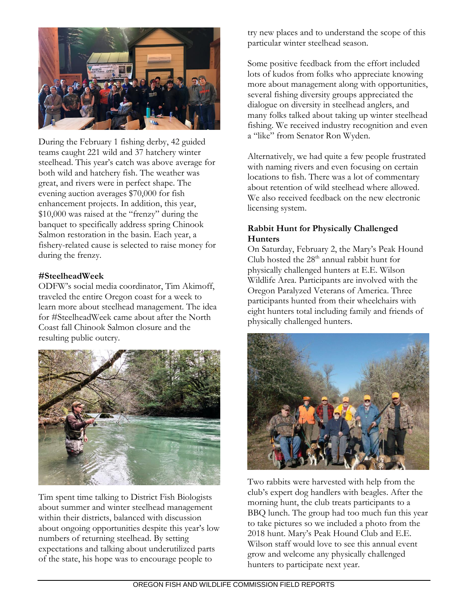

During the February 1 fishing derby, 42 guided teams caught 221 wild and 37 hatchery winter steelhead. This year's catch was above average for both wild and hatchery fish. The weather was great, and rivers were in perfect shape. The evening auction averages \$70,000 for fish enhancement projects. In addition, this year, \$10,000 was raised at the "frenzy" during the banquet to specifically address spring Chinook Salmon restoration in the basin. Each year, a fishery-related cause is selected to raise money for during the frenzy.

#### **#SteelheadWeek**

ODFW's social media coordinator, Tim Akimoff, traveled the entire Oregon coast for a week to learn more about steelhead management. The idea for #SteelheadWeek came about after the North Coast fall Chinook Salmon closure and the resulting public outcry.



Tim spent time talking to District Fish Biologists about summer and winter steelhead management within their districts, balanced with discussion about ongoing opportunities despite this year's low numbers of returning steelhead. By setting expectations and talking about underutilized parts of the state, his hope was to encourage people to

try new places and to understand the scope of this particular winter steelhead season.

Some positive feedback from the effort included lots of kudos from folks who appreciate knowing more about management along with opportunities, several fishing diversity groups appreciated the dialogue on diversity in steelhead anglers, and many folks talked about taking up winter steelhead fishing. We received industry recognition and even a "like" from Senator Ron Wyden.

Alternatively, we had quite a few people frustrated with naming rivers and even focusing on certain locations to fish. There was a lot of commentary about retention of wild steelhead where allowed. We also received feedback on the new electronic licensing system.

## **Rabbit Hunt for Physically Challenged Hunters**

On Saturday, February 2, the Mary's Peak Hound Club hosted the  $28<sup>th</sup>$  annual rabbit hunt for physically challenged hunters at E.E. Wilson Wildlife Area. Participants are involved with the Oregon Paralyzed Veterans of America. Three participants hunted from their wheelchairs with eight hunters total including family and friends of physically challenged hunters.



Two rabbits were harvested with help from the club's expert dog handlers with beagles. After the morning hunt, the club treats participants to a BBQ lunch. The group had too much fun this year to take pictures so we included a photo from the 2018 hunt. Mary's Peak Hound Club and E.E. Wilson staff would love to see this annual event grow and welcome any physically challenged hunters to participate next year.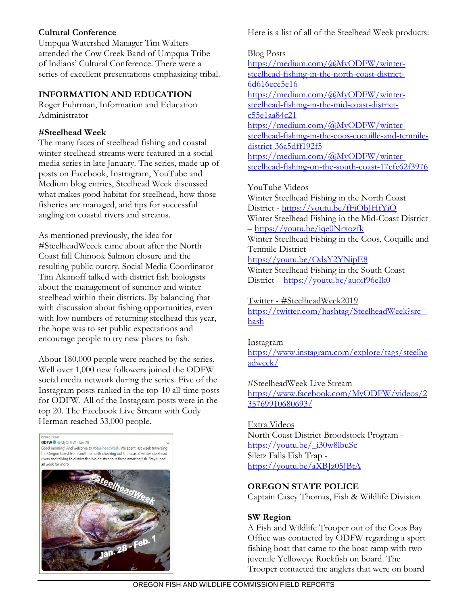## **Cultural Conference**

Umpqua Watershed Manager Tim Walters attended the Cow Creek Band of Umpqua Tribe of Indians' Cultural Conference. There were a series of excellent presentations emphasizing tribal.

## **INFORMATION AND EDUCATION**

Roger Fuhrman, Information and Education Administrator

## **#Steelhead Week**

The many faces of steelhead fishing and coastal winter steelhead streams were featured in a social media series in late January. The series, made up of posts on Facebook, Instragram, YouTube and Medium blog entries, Steelhead Week discussed what makes good habitat for steelhead, how those fisheries are managed, and tips for successful angling on coastal rivers and streams.

As mentioned previously, the idea for #SteelheadWeeek came about after the North Coast fall Chinook Salmon closure and the resulting public outcry. Social Media Coordinator Tim Akimoff talked with district fish biologists about the management of summer and winter steelhead within their districts. By balancing that with discussion about fishing opportunities, even with low numbers of returning steelhead this year, the hope was to set public expectations and encourage people to try new places to fish.

About 180,000 people were reached by the series. Well over 1,000 new followers joined the ODFW social media network during the series. Five of the Instagram posts ranked in the top-10 all-time posts for ODFW. All of the Instagram posts were in the top 20. The Facebook Live Stream with Cody Herman reached 33,000 people.

ODFW @ @MyODFW · Jan 28 Good morning! And welcome to #SteelheadWeek. We spent last week traversing the Oregon Coast from south to north checking out the coastal winter steelhead rivers and talking to district fish biologists about these amazing fish. Stay tuned all week for more!



Here is a list of all of the Steelhead Week products:

## Blog Posts

[https://medium.com/@MyODFW/winter](https://medium.com/@MyODFW/winter-steelhead-fishing-in-the-north-coast-district-6d616ece5e16)[steelhead-fishing-in-the-north-coast-district-](https://medium.com/@MyODFW/winter-steelhead-fishing-in-the-north-coast-district-6d616ece5e16)[6d616ece5e16](https://medium.com/@MyODFW/winter-steelhead-fishing-in-the-north-coast-district-6d616ece5e16) [https://medium.com/@MyODFW/winter](https://medium.com/@MyODFW/winter-steelhead-fishing-in-the-mid-coast-district-c55e1aa84c21)[steelhead-fishing-in-the-mid-coast-district](https://medium.com/@MyODFW/winter-steelhead-fishing-in-the-mid-coast-district-c55e1aa84c21)[c55e1aa84c21](https://medium.com/@MyODFW/winter-steelhead-fishing-in-the-mid-coast-district-c55e1aa84c21) [https://medium.com/@MyODFW/winter](https://medium.com/@MyODFW/winter-steelhead-fishing-in-the-coos-coquille-and-tenmile-district-36a5dff192f5)[steelhead-fishing-in-the-coos-coquille-and-tenmile](https://medium.com/@MyODFW/winter-steelhead-fishing-in-the-coos-coquille-and-tenmile-district-36a5dff192f5)[district-36a5dff192f5](https://medium.com/@MyODFW/winter-steelhead-fishing-in-the-coos-coquille-and-tenmile-district-36a5dff192f5) [https://medium.com/@MyODFW/winter](https://medium.com/@MyODFW/winter-steelhead-fishing-on-the-south-coast-17cfc62f3976)[steelhead-fishing-on-the-south-coast-17cfc62f3976](https://medium.com/@MyODFW/winter-steelhead-fishing-on-the-south-coast-17cfc62f3976)

## YouTube Videos

Winter Steelhead Fishing in the North Coast District - <https://youtu.be/fFiObJHfYiQ> Winter Steelhead Fishing in the Mid-Coast District – <https://youtu.be/iqe0Nrxozfk> Winter Steelhead Fishing in the Coos, Coquille and Tenmile District – <https://youtu.be/OdsY2YNipE8> Winter Steelhead Fishing in the South Coast District – <https://youtu.be/auoif96eIk0>

#### Twitter - #SteelheadWeek2019

[https://twitter.com/hashtag/SteelheadWeek?src=](https://twitter.com/hashtag/SteelheadWeek?src=hash) [hash](https://twitter.com/hashtag/SteelheadWeek?src=hash)

#### Instagram

[https://www.instagram.com/explore/tags/steelhe](https://www.instagram.com/explore/tags/steelheadweek/) [adweek/](https://www.instagram.com/explore/tags/steelheadweek/)

#SteelheadWeek Live Stream [https://www.facebook.com/MyODFW/videos/2](https://www.facebook.com/MyODFW/videos/235769910680693/) [35769910680693/](https://www.facebook.com/MyODFW/videos/235769910680693/)

## Extra Videos North Coast District Broodstock Program [https://youtu.be/\\_i30w8lbuSc](https://youtu.be/_i30w8lbuSc) Siletz Falls Fish Trap <https://youtu.be/aXBJz05JBtA>

## **OREGON STATE POLICE**

Captain Casey Thomas, Fish & Wildlife Division

## **SW Region**

A Fish and Wildlife Trooper out of the Coos Bay Office was contacted by ODFW regarding a sport fishing boat that came to the boat ramp with two juvenile Yelloweye Rockfish on board. The Trooper contacted the anglers that were on board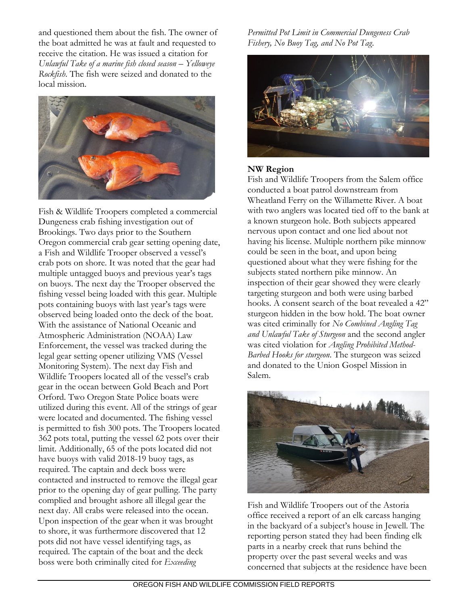and questioned them about the fish. The owner of the boat admitted he was at fault and requested to receive the citation. He was issued a citation for *Unlawful Take of a marine fish closed season* – *Yelloweye Rockfish*. The fish were seized and donated to the local mission.



Fish & Wildlife Troopers completed a commercial Dungeness crab fishing investigation out of Brookings. Two days prior to the Southern Oregon commercial crab gear setting opening date, a Fish and Wildlife Trooper observed a vessel's crab pots on shore. It was noted that the gear had multiple untagged buoys and previous year's tags on buoys. The next day the Trooper observed the fishing vessel being loaded with this gear. Multiple pots containing buoys with last year's tags were observed being loaded onto the deck of the boat. With the assistance of National Oceanic and Atmospheric Administration (NOAA) Law Enforcement, the vessel was tracked during the legal gear setting opener utilizing VMS (Vessel Monitoring System). The next day Fish and Wildlife Troopers located all of the vessel's crab gear in the ocean between Gold Beach and Port Orford. Two Oregon State Police boats were utilized during this event. All of the strings of gear were located and documented. The fishing vessel is permitted to fish 300 pots. The Troopers located 362 pots total, putting the vessel 62 pots over their limit. Additionally, 65 of the pots located did not have buoys with valid 2018-19 buoy tags, as required. The captain and deck boss were contacted and instructed to remove the illegal gear prior to the opening day of gear pulling. The party complied and brought ashore all illegal gear the next day. All crabs were released into the ocean. Upon inspection of the gear when it was brought to shore, it was furthermore discovered that 12 pots did not have vessel identifying tags, as required. The captain of the boat and the deck boss were both criminally cited for *Exceeding* 

*Permitted Pot Limit in Commercial Dungeness Crab Fishery, No Buoy Tag, and No Pot Tag*.



#### **NW Region**

Fish and Wildlife Troopers from the Salem office conducted a boat patrol downstream from Wheatland Ferry on the Willamette River. A boat with two anglers was located tied off to the bank at a known sturgeon hole. Both subjects appeared nervous upon contact and one lied about not having his license. Multiple northern pike minnow could be seen in the boat, and upon being questioned about what they were fishing for the subjects stated northern pike minnow. An inspection of their gear showed they were clearly targeting sturgeon and both were using barbed hooks. A consent search of the boat revealed a 42" sturgeon hidden in the bow hold. The boat owner was cited criminally for *No Combined Angling Tag and Unlawful Take of Sturgeon* and the second angler was cited violation for *Angling Prohibited Method-Barbed Hooks for sturgeon*. The sturgeon was seized and donated to the Union Gospel Mission in Salem.



Fish and Wildlife Troopers out of the Astoria office received a report of an elk carcass hanging in the backyard of a subject's house in Jewell. The reporting person stated they had been finding elk parts in a nearby creek that runs behind the property over the past several weeks and was concerned that subjects at the residence have been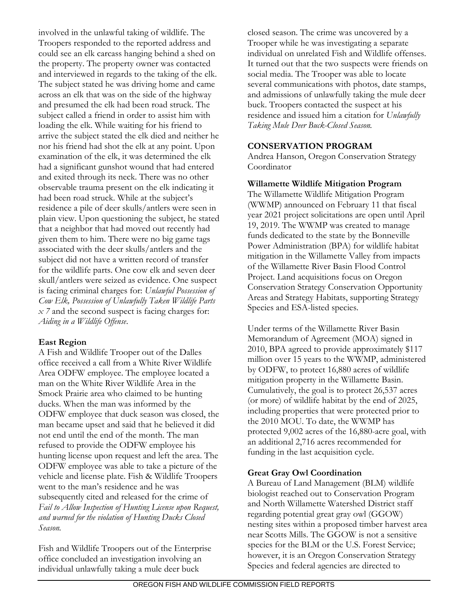involved in the unlawful taking of wildlife. The Troopers responded to the reported address and could see an elk carcass hanging behind a shed on the property. The property owner was contacted and interviewed in regards to the taking of the elk. The subject stated he was driving home and came across an elk that was on the side of the highway and presumed the elk had been road struck. The subject called a friend in order to assist him with loading the elk. While waiting for his friend to arrive the subject stated the elk died and neither he nor his friend had shot the elk at any point. Upon examination of the elk, it was determined the elk had a significant gunshot wound that had entered and exited through its neck. There was no other observable trauma present on the elk indicating it had been road struck. While at the subject's residence a pile of deer skulls/antlers were seen in plain view. Upon questioning the subject, he stated that a neighbor that had moved out recently had given them to him. There were no big game tags associated with the deer skulls/antlers and the subject did not have a written record of transfer for the wildlife parts. One cow elk and seven deer skull/antlers were seized as evidence. One suspect is facing criminal charges for: *Unlawful Possession of Cow Elk, Possession of Unlawfully Taken Wildlife Parts x 7* and the second suspect is facing charges for: *Aiding in a Wildlife Offense*.

## **East Region**

A Fish and Wildlife Trooper out of the Dalles office received a call from a White River Wildlife Area ODFW employee. The employee located a man on the White River Wildlife Area in the Smock Prairie area who claimed to be hunting ducks. When the man was informed by the ODFW employee that duck season was closed, the man became upset and said that he believed it did not end until the end of the month. The man refused to provide the ODFW employee his hunting license upon request and left the area. The ODFW employee was able to take a picture of the vehicle and license plate. Fish & Wildlife Troopers went to the man's residence and he was subsequently cited and released for the crime of *Fail to Allow Inspection of Hunting License upon Request, and warned for the violation of Hunting Ducks Closed Season.*

Fish and Wildlife Troopers out of the Enterprise office concluded an investigation involving an individual unlawfully taking a mule deer buck

closed season. The crime was uncovered by a Trooper while he was investigating a separate individual on unrelated Fish and Wildlife offenses. It turned out that the two suspects were friends on social media. The Trooper was able to locate several communications with photos, date stamps, and admissions of unlawfully taking the mule deer buck. Troopers contacted the suspect at his residence and issued him a citation for *Unlawfully Taking Mule Deer Buck-Closed Season.* 

## **CONSERVATION PROGRAM**

Andrea Hanson, Oregon Conservation Strategy Coordinator

## **Willamette Wildlife Mitigation Program**

The Willamette Wildlife Mitigation Program (WWMP) announced on February 11 that fiscal year 2021 project solicitations are open until April 19, 2019. The WWMP was created to manage funds dedicated to the state by the Bonneville Power Administration (BPA) for wildlife habitat mitigation in the Willamette Valley from impacts of the Willamette River Basin Flood Control Project. Land acquisitions focus on Oregon Conservation Strategy Conservation Opportunity Areas and Strategy Habitats, supporting Strategy Species and ESA-listed species.

Under terms of the Willamette River Basin Memorandum of Agreement (MOA) signed in 2010, BPA agreed to provide approximately \$117 million over 15 years to the WWMP, administered by ODFW, to protect 16,880 acres of wildlife mitigation property in the Willamette Basin. Cumulatively, the goal is to protect 26,537 acres (or more) of wildlife habitat by the end of 2025, including properties that were protected prior to the 2010 MOU. To date, the WWMP has protected 9,002 acres of the 16,880-acre goal, with an additional 2,716 acres recommended for funding in the last acquisition cycle.

## **Great Gray Owl Coordination**

A Bureau of Land Management (BLM) wildlife biologist reached out to Conservation Program and North Willamette Watershed District staff regarding potential great gray owl (GGOW) nesting sites within a proposed timber harvest area near Scotts Mills. The GGOW is not a sensitive species for the BLM or the U.S. Forest Service; however, it is an Oregon Conservation Strategy Species and federal agencies are directed to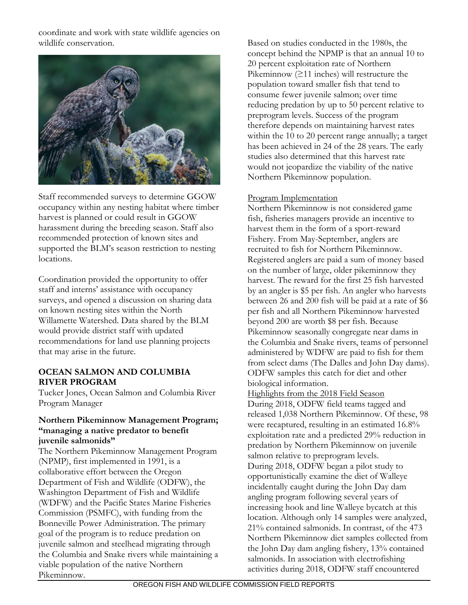coordinate and work with state wildlife agencies on wildlife conservation.



Staff recommended surveys to determine GGOW occupancy within any nesting habitat where timber harvest is planned or could result in GGOW harassment during the breeding season. Staff also recommended protection of known sites and supported the BLM's season restriction to nesting locations.

Coordination provided the opportunity to offer staff and interns' assistance with occupancy surveys, and opened a discussion on sharing data on known nesting sites within the North Willamette Watershed. Data shared by the BLM would provide district staff with updated recommendations for land use planning projects that may arise in the future.

#### **OCEAN SALMON AND COLUMBIA RIVER PROGRAM**

Tucker Jones, Ocean Salmon and Columbia River Program Manager

## **Northern Pikeminnow Management Program; "managing a native predator to benefit juvenile salmonids"**

The Northern Pikeminnow Management Program (NPMP), first implemented in 1991, is a collaborative effort between the Oregon Department of Fish and Wildlife (ODFW), the Washington Department of Fish and Wildlife (WDFW) and the Pacific States Marine Fisheries Commission (PSMFC), with funding from the Bonneville Power Administration. The primary goal of the program is to reduce predation on juvenile salmon and steelhead migrating through the Columbia and Snake rivers while maintaining a viable population of the native Northern Pikeminnow.

Based on studies conducted in the 1980s, the concept behind the NPMP is that an annual 10 to 20 percent exploitation rate of Northern Pikeminnow (≥11 inches) will restructure the population toward smaller fish that tend to consume fewer juvenile salmon; over time reducing predation by up to 50 percent relative to preprogram levels. Success of the program therefore depends on maintaining harvest rates within the 10 to 20 percent range annually; a target has been achieved in 24 of the 28 years. The early studies also determined that this harvest rate would not jeopardize the viability of the native Northern Pikeminnow population.

#### Program Implementation

Northern Pikeminnow is not considered game fish, fisheries managers provide an incentive to harvest them in the form of a sport-reward Fishery. From May-September, anglers are recruited to fish for Northern Pikeminnow. Registered anglers are paid a sum of money based on the number of large, older pikeminnow they harvest. The reward for the first 25 fish harvested by an angler is \$5 per fish. An angler who harvests between 26 and 200 fish will be paid at a rate of \$6 per fish and all Northern Pikeminnow harvested beyond 200 are worth \$8 per fish. Because Pikeminnow seasonally congregate near dams in the Columbia and Snake rivers, teams of personnel administered by WDFW are paid to fish for them from select dams (The Dalles and John Day dams). ODFW samples this catch for diet and other biological information.

Highlights from the 2018 Field Season During 2018, ODFW field teams tagged and released 1,038 Northern Pikeminnow. Of these, 98 were recaptured, resulting in an estimated 16.8% exploitation rate and a predicted 29% reduction in predation by Northern Pikeminnow on juvenile salmon relative to preprogram levels. During 2018, ODFW began a pilot study to opportunistically examine the diet of Walleye incidentally caught during the John Day dam angling program following several years of increasing hook and line Walleye bycatch at this location. Although only 14 samples were analyzed, 21% contained salmonids. In contrast, of the 473 Northern Pikeminnow diet samples collected from the John Day dam angling fishery, 13% contained salmonids. In association with electrofishing activities during 2018, ODFW staff encountered